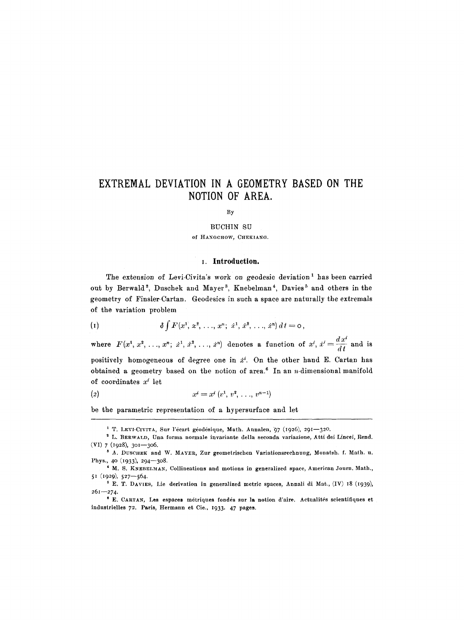# **EXTREMAL DEVIATION IN A GEOMETRY BASED ON THE NOTION OF AREA.**

By

BUCHIN SU

of HANGCHOW, CHEКIANG.

### **x. Introduction.**

**The extension of Levi-Civita's work on geodesic deviation i has been carried**  out by Berwald<sup>2</sup>, Duschek and Mayer<sup>3</sup>, Knebelman<sup>4</sup>, Davies<sup>5</sup> and others in the **geometry of Finsler-Cartan. Geodesics in such a space are naturally the extremals of the variation problem** 

*(i) ~fF(x'i.~,...,* **x".; .+', :e~ .... , :,")at=o,** 

where  $F(x^1, x^2, \ldots, x^n; x^1, x^2, \ldots, x^n)$  denotes a function of  $x^i, x^i = \frac{dx^i}{dt}$  and is positively homogeneous of degree one in  $\dot{x}^i$ . On the other hand E. Cartan has **obtained a geometry based on the notion of area. 6 In an n-dimensional manifold**  of coordinates  $x^i$  let

$$
(2) \t xi = xi (v1, v2, ..., vn-1)
$$

**be the parametric representation of a hypersurface and let** 

<sup>&</sup>lt;sup>1</sup> T. LEVI-CIVITA, Sur l'écart géodésique, Math. Annalen, 97 (1926), 291-320.

L. BERWALD, **Una forma normale invariante della seconda variazione, Atti dei Lineei, Rend.**   $(VI)$  7 (1928), 301-306.

s A. DUSCHEK and W. MAYER, Zur **geometrisehen Variationsreehnung, Monatsh. f. Math.** u. Phys., 40 (1933), 294-308.

<sup>&</sup>lt;sup>4</sup> M. S. KNEBELMAN, Collineations and motions in generalized space, American Journ. Math.,  $51$  (1929),  $527 - 564$ .

E. T. DAVIES, Lie deriwttion in **generalized metric spaces,** Annali di Mat., (IV) I8 (1939),  $261 - 274.$ 

<sup>&</sup>lt;sup>6</sup> E. CARTAN, Les espaces métriques fondés sur la notion d'aire. Actualités scientifiques et induslrielles 72. Paris, **Hermann et** Cie., I933. 47 pages.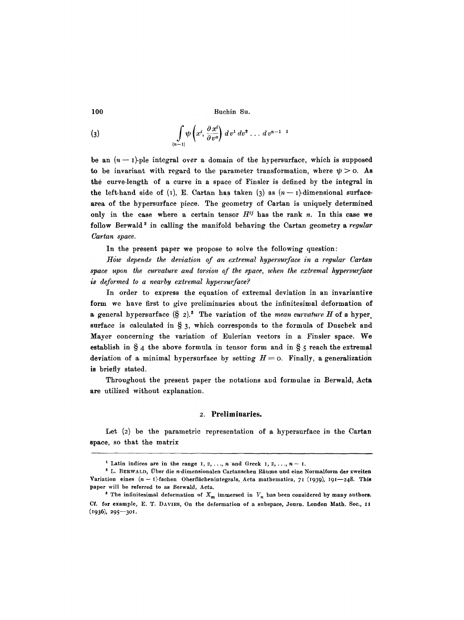(3) 
$$
\int_{(n-1)} \psi\left(x^i, \frac{\partial x^i}{\partial v^a}\right) dv^1 dv^2 \dots dv^{n-1}
$$

be an  $(n-1)$ -ple integral over a domain of the hypersurface, which is supposed to be invariant with regard to the parameter transformation, where  $\psi > 0$ . As the curve-length of a curve in a space of Finsler is defined by the integral in the left-hand side of (1), E. Cartan has taken (3) as  $(n-1)$ -dimensional surfacearea of the hypersurface piece. The geometry of Cartan is uniquely determined only in the case where a certain tensor  $H^{ij}$  has the rank n. In this case we follow Berwald<sup>2</sup> in calling the manifold behaving the Cartan geometry a *regular*  $Cartan space.$ 

In the present paper we propose to solve the following question:

*How depends the deviation of an extremal hypersurface in a regular Cartan space upon the curvature and torsion of the space, when the extremal hypersurfaee is deformed to a nearby extremal hypersu~faee?* 

In order to express the equation of extremal deviation in an invariantive form we have first to give preliminaries about the infinitesimal deformation of a general hypersurface  $(\S 2)^3$ . The variation of the *mean curvature H* of a hyper. surface is calculated in  $\S$  3, which corresponds to the formula of Duschek and Mayer concerning the variation of Eulerian vectors in a Finsler space. We establish in  $\S$  4 the above formula in tensor form and in  $\S$  5 reach the extremal deviation of a minimal hypersurface by setting  $H=0$ . Finally, a generalization is briefly stated.

Throughout the present paper the notations and formulae in Berwald, Acta are utilized without explanation.

#### **2. Preliminaries.**

Let (2) be the parametric representation of a hypersurface in the Cartan space, so that the matrix

<sup>&</sup>lt;sup>1</sup> Latin indices are in the range  $1, 2, ..., n$  and Greek  $1, 2, ..., n - 1$ .

<sup>&</sup>lt;sup>2</sup> L. BERWALD, Über die n-dimensionalen Cartanschen Räume und eine Normalform der zweiten Variation eines  $(n-1)$ -fachen Oberflächenintegrals, Acta mathematica, 71 (1939), I91-248. This **paper** will be referred to as Berwald, Aeta.

<sup>&</sup>lt;sup>8</sup> The infinitesimal deformation of  $X_m$  immersed in  $V_n$  has been considered by many authors. Cf. for example, E. T. DAVIES, On the deformation of a subspace, Jourm London Math. Soc., It  $(1936), 295 - 301.$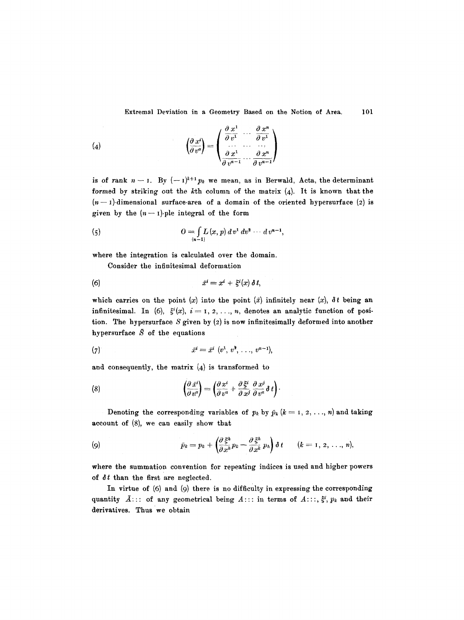(4) 
$$
\left(\begin{array}{c}\n\frac{\partial x^i}{\partial v^a}\n\end{array}\right) = \left(\begin{array}{ccc}\n\frac{\partial x^1}{\partial v^1} & \cdots & \frac{\partial x^n}{\partial v^1} \\
\frac{\partial x^1}{\partial v^{n-1}} & \cdots & \frac{\partial x^n}{\partial v^{n-1}}\n\end{array}\right)
$$

is of rank  $n-1$ . By  $(-1)^{k+1}p_k$  we mean, as in Berwald, Acta, the determinant formed by striking out the  $k$ th column of the matrix  $(4)$ . It is known that the  $(n-1)$ -dimensional surface-area of a domain of the oriented hypersurface (2) is given by the  $(n - 1)$ -ple integral of the form

(5) 
$$
0 = \int_{(n-1)} L(x, p) d v^1 d v^2 \cdots d v^{n-1},
$$

where the integration is calculated over the domain.

Consider the infinitesimal deformation

$$
(6) \hspace{3.1em} \tilde{x}^i = x^i + \xi^i(x) \, \delta \, t,
$$

which carries on the point (x) into the point ( $\bar{x}$ ) infinitely near (x),  $\delta t$  being an infinitesimal. In (6),  $\xi^{i}(x)$ ,  $i = 1, 2, ..., n$ , denotes an analytic function of position. The hypersurface S given by (2) is now infinitesimally deformed into another hypersurface  $\overline{S}$  of the equations

(7) 
$$
\bar{x}^i = \bar{x}^i \; (v^1, \, v^2, \, \ldots, \, v^{n-1}),
$$

and consequently, the matrix  $(4)$  is transformed to

(8) 
$$
\left(\frac{\partial \bar{x}^i}{\partial v^{\alpha}}\right) = \left(\frac{\partial x^i}{\partial v^{\alpha}} + \frac{\partial \xi^i}{\partial x^j} \frac{\partial x^j}{\partial v^{\alpha}} \delta t\right).
$$

Denoting the corresponding variables of  $p_k$  by  $\bar{p}_k$  ( $k = 1, 2, ..., n$ ) and taking account of (8), we can easily show that

(9) 
$$
\bar{p}_k = p_k + \left(\frac{\partial \xi^h}{\partial x^h} p_k - \frac{\partial \xi^h}{\partial x^k} p_h\right) \delta t \qquad (k = 1, 2, ..., n),
$$

where the summation convention for repeating indices is used and higher powers of  $\delta t$  than the first are neglected.

In virtue of (6) and (9) there is no difficulty in expressing the corresponding quantity  $\bar{A}$ ::: of any geometrical being  $A$ ::: in terms of  $A$ :::,  $\xi^i$ ,  $p_k$  and their derivatives. Thus we obtain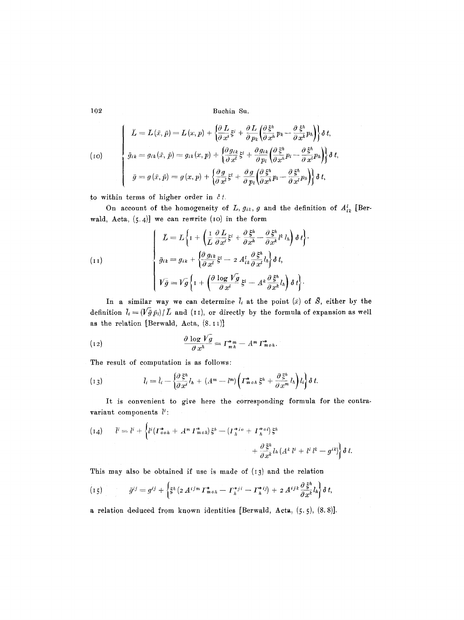102 Buchin 8u.

$$
(10)
$$
\n
$$
\begin{cases}\n\bar{L} = L(\bar{x}, \bar{p}) = L(x, p) + \left\{\frac{\partial L}{\partial x^i}\xi^i + \frac{\partial L}{\partial p_k}\left(\frac{\partial \xi^h}{\partial x^h}p_k - \frac{\partial \xi^h}{\partial x^k}p_h\right)\right\}\delta t, \\
\bar{g}_{ik} = g_{ik}(\bar{x}, \bar{p}) = g_{ik}(x, p) + \left\{\frac{\partial g_{ik}}{\partial x^l}\xi^l + \frac{\partial g_{ik}}{\partial p_l}\left(\frac{\partial \xi^h}{\partial x^h}p_l - \frac{\partial \xi^h}{\partial x^l}p_h\right)\right\}\delta t, \\
\bar{g} = g(\bar{x}, \bar{p}) = g(x, p) + \left\{\frac{\partial g}{\partial x^l}\xi^l + \frac{\partial g}{\partial p_l}\left(\frac{\partial \xi^h}{\partial x^h}p_l - \frac{\partial \xi^h}{\partial x^l}p_h\right)\right\}\delta t,\n\end{cases}
$$

to within terms of higher order in  $\delta t$ .

On account of the homogeneity of L,  $g_{ik}$ , g and the definition of  $A_{ik}^l$  [Berwald, Acta,  $(5.4)$ ] we can rewrite (10) in the form

(11)  

$$
\begin{cases}\n\bar{L} = L \left\{ I + \left( \frac{I}{L} \frac{\partial L}{\partial x^i} \xi^i + \frac{\partial \xi^h}{\partial x^h} - \frac{\partial \xi^h}{\partial x^k} l^k l_h \right) \delta t \right\} \\
\bar{g}_{ik} = g_{ik} + \left\{ \frac{\partial g_{ik}}{\partial x^i} \xi^i - 2 A_{ik}^l \frac{\partial \xi^h}{\partial x^l} l_h \right\} \delta t, \\
V \bar{g} = V \bar{g} \left\{ I + \left( \frac{\partial \log V g}{\partial x^i} \xi^i - A^k \frac{\partial \xi^h}{\partial x^k} l_h \right) \delta t \right\}.\n\end{cases}
$$

In a similar way we can determine  $\overline{l}_i$  at the point  $(\overline{x})$  of  $\overline{S}_i$ , either by the definition  $\bar{l}_i = (\sqrt{\bar{g}} p_i)/\bar{L}$  and (11), or directly by the formula of expansion as well as the relation [Berwald, Acta,  $(8.11)$ ]

(12) 
$$
\frac{\partial \log V g}{\partial x^h} = \Gamma^*_{m} - A^m \Gamma^*_{m \, oh}.
$$

The result of computation is as follows:

(13) 
$$
\bar{l}_i = \hat{l}_i - \left\{ \frac{\partial \xi^h}{\partial x^i} l_h + (A^m - l^m) \left( \Gamma^*_{m \circ h} \xi^h + \frac{\partial \xi^h}{\partial x^m} l_h \right) l_i \right\} \delta t.
$$

It is convenient to give here the corresponding formula for the contravariant components  $\bar{l}'$ :

$$
(14) \qquad \bar{l}^i = l^i + \left\{ l^i ( \Gamma^*_{\sigma \circ h} + A^m \Gamma^*_{m \circ h} ) \xi^h - ( \Gamma^*_{h}{}^{i \circ} + \Gamma^*_{h}{}^{\circ}{}^{i} ) \xi^h \right. \\qquad \qquad + \left. \frac{\partial \xi^h}{\partial x^k} l_h ( A^k \, l^i + l^i \, l^k - g^{ik} ) \right\} \delta \, t.
$$

This may also be obtained if use is made of  $(13)$  and the relation

"' { ' **,3~0~ h )** (I5) *~tiJ~---q '3 -~ ~h(2AiJmT~oh-- l',:a' - r; ij) + 2A;''a~lht~t,* 

a relation deduced from known identities [Berwald, hera, (5.5), (8.8)].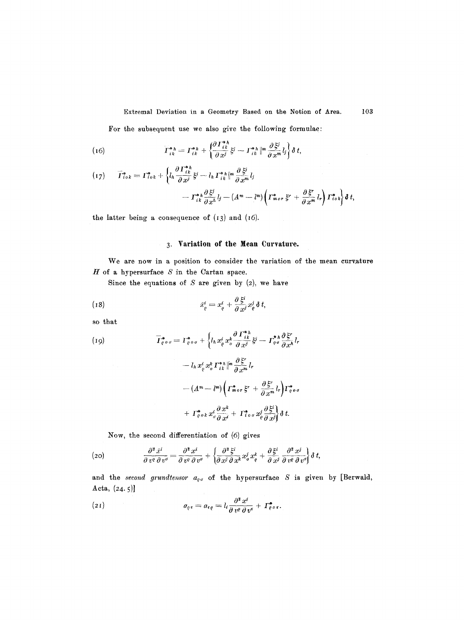Extremal Deviation in a Geometry Based on the Notion of Area.

103

For the subsequent use we also give the following formulae:

(16) 
$$
T_{ik}^{*h} = T_{ik}^{*h} + \left\{ \frac{\partial T_{ik}^{*h}}{\partial x^j} \xi^j - T_{ik}^{*h} \right\}^{m} \frac{\partial \xi^j}{\partial x^m} l_j \right\} \delta t,
$$

$$
(17) \qquad \overline{I}_{i \circ k}^* = \Gamma_{i \circ k}^* + \left\{ l_h \frac{\partial \Gamma_{i k}^{*h}}{\partial x^j} \xi^j - l_h \Gamma_{i k}^{*h} \right\}^{m} \frac{\partial \xi^j}{\partial x^m} l_j - \Gamma_{i k}^{*h} \frac{\partial \xi^j}{\partial x^h} l_j - (A^m - l^m) \left( \Gamma_{m \circ r}^{*} \xi^r + \frac{\partial \xi^r}{\partial x^m} l_r \right) \Gamma_{i \circ k}^{*h} \right\} \delta t,
$$

the latter being a consequence of  $(13)$  and  $(16)$ .

# 3. Variation of the Mean Curvature.

We are now in a position to consider the variation of the mean curvature  $H$  of a hypersurface  $S$  in the Cartan space.

Since the equations of  $S$  are given by (2), we have

(18) 
$$
\tilde{x}_{\varrho}^{i} = x_{\varrho}^{i} + \frac{\partial \xi^{i}}{\partial x^{j}} x_{\varrho}^{j} \delta t,
$$

so that

(19)  
\n
$$
\overline{I}_{\varrho \circ \sigma}^{*} = I_{\varrho \circ \sigma}^{*} + \left\{ l_{h} x_{\varrho}^{i} x_{\sigma}^{k} \frac{\partial \Gamma_{ik}^{*h}}{\partial x^{j}} \xi^{j} - \Gamma_{\varrho \circ \sigma}^{*h} \frac{\partial \xi^{r}}{\partial x^{h}} l_{r} \right\}
$$
\n
$$
- l_{h} x_{\varrho}^{i} x_{\sigma}^{k} \Gamma_{ik}^{*h} \left\| \frac{\partial \xi^{r}}{\partial x^{m}} l_{r} \right\}
$$
\n
$$
- (A^{m} - l^{m}) \left( \Gamma_{m \circ r}^{*} \xi^{r} + \frac{\partial \xi^{r}}{\partial x^{m}} l_{r} \right) \Gamma_{\varrho \circ \sigma}^{*} + \Gamma_{\varrho \circ k}^{*} x_{\sigma}^{i} \frac{\partial x^{k}}{\partial x^{i}} + \Gamma_{i \circ \sigma}^{*} x_{\varrho}^{j} \frac{\partial \xi^{i}}{\partial x^{j}} \right\} \delta t.
$$

Now, the second differentiation of (6) gives

(20) 
$$
\frac{\partial^2 \bar{x}^i}{\partial v^q \partial v^q} = \frac{\partial^2 x^i}{\partial v^q \partial v^q} + \left\{ \frac{\partial^2 \bar{z}^i}{\partial x^j \partial x^k} x^j_{q} x^k_{\rho} + \frac{\partial \bar{z}^i}{\partial x^j} \frac{\partial^2 x^j}{\partial v^q} \right\} \delta t,
$$

and the second grundtensor  $a_{\varrho\sigma}$  of the hypersurface S is given by [Berwald, Acta,  $(24.5)$ 

(21) 
$$
a_{\varrho\tau} = a_{\tau\varrho} = l_i \frac{\partial^2 x^i}{\partial v^{\varrho} \partial v^{\tau}} + \Gamma^{\bullet}_{\varrho \sigma \tau}.
$$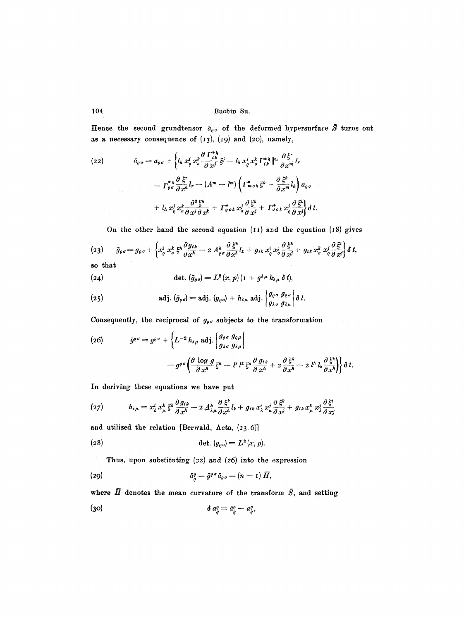104 Buehin Su.

Hence the second grundtensor  $\bar{a}_{\rho\sigma}$  of the deformed hypersurface  $\bar{S}$  turns out as a necessary consequence of (I3), (19) and (2o), namely,

(22) 
$$
\tilde{a}_{\varrho\sigma} = a_{\varrho\sigma} + \left\{ l_h x_{\varrho}^i x_{\sigma}^k \frac{\partial \Gamma_{ik}^{*h}}{\partial x^j} \xi^j - l_h x_{\varrho}^i x_{\sigma}^k \Gamma_{ik}^{*h} \right\}^{m} \frac{\partial \xi^r}{\partial x^m} l_r \n- \Gamma_{\varrho\sigma}^{*h} \frac{\partial \xi^r}{\partial x^h} l_r - (A^m - l^m) \left( \Gamma_{m\sigma h}^{*} \xi^h + \frac{\partial \xi^h}{\partial x^m} l_h \right) a_{\varrho\sigma} \n+ l_h x_{\varrho}^j x_{\sigma}^k \frac{\partial^2 \xi^h}{\partial x^j \partial x^h} + \Gamma_{\varrho\sigma k}^{*} x_{\sigma}^j \frac{\partial \xi^k}{\partial x^j} + \Gamma_{\sigma\sigma k}^{*} x_{\sigma}^j \frac{\partial \xi^k}{\partial x^j} \right\} \delta t.
$$

On the other hand the second equation  $(11)$  and the equation  $(18)$  gives

$$
(23) \qquad \bar{g}_{\varrho\sigma} = g_{\varrho\sigma} + \left\{ x_{\varrho}^i x_{\sigma}^k \xi^h \frac{\partial g_{ik}}{\partial x^h} - 2 A_{\varrho\sigma}^h \frac{\partial \xi^k}{\partial x^h} l_k + g_{ik} x_{\varrho}^i x_{\sigma}^j \frac{\partial \xi^k}{\partial x^j} + g_{ik} x_{\sigma}^k x_{\varrho}^j \frac{\partial \xi^i}{\partial x^j} \right\} \delta t,
$$

so that

(24) 
$$
\det \, (\bar{g}_{\rho\,\sigma}) = L^2(x,p) \, (1 + g^{\lambda\,\mu} \, h_{\lambda\,\mu} \, \delta \, t),
$$

(25) adj. 
$$
(\bar{g}_{\rho\sigma}) = \text{adj. } (g_{\rho\sigma}) + h_{\lambda\mu} \text{ adj. } \left| \begin{array}{cc} g_{\rho\sigma} & g_{\rho\mu} \\ g_{\lambda\sigma} & g_{\lambda\mu} \end{array} \right| \delta t.
$$

Consequently, the reciprocal of  $g_{\rho\sigma}$  subjects to the transformation

(26) 
$$
\bar{g}^{\varrho\sigma} = g^{\varrho\sigma} + \left\{ L^{-2} h_{\lambda\mu} \text{ adj.} \middle| \begin{aligned} g_{\varrho\sigma} & g_{\varrho\mu} \\ g_{\lambda\sigma} & g_{\lambda\mu} \end{aligned} \right. \\ \left. - g^{\varrho\sigma} \left( \frac{\partial \log g}{\partial x^h} \xi^h - l^i l^k \xi^h \frac{\partial g_{ik}}{\partial x^h} + 2 \frac{\partial \xi^h}{\partial x^h} - 2 l^h l_k \frac{\partial \xi^h}{\partial x^h} \right) \right\} \delta t.
$$

In deriving these equations we have put

$$
(27) \t\t\t h_{\lambda\mu}=x_{\lambda}^{i}x_{\mu}^{k}\xi^{\mu}\frac{\partial g_{i\kappa}}{\partial x^{\lambda}}-2A_{\lambda\mu}^{\mu}\frac{\partial \xi^{\kappa}}{\partial x^{\lambda}}l_{k}+g_{i\kappa}x_{\lambda}^{i}x_{\mu}^{j}\frac{\partial \xi^{\kappa}}{\partial x^{j}}+g_{i\kappa}x_{\mu}^{k}x_{\lambda}^{j}\frac{\partial \xi^{\kappa}}{\partial x_{j}}
$$

and utilized the relation [Berwald, Acta,  $(23.6)$ ]

(28) def. *(geo) = L ~ (x, p).* 

Thus, upon substituting  $(22)$  and  $(26)$  into the expression

$$
\bar{a}_{\varrho}^{\varrho} = \bar{g}^{\varrho \sigma} \bar{a}_{\varrho \sigma} = (n-1) \, \bar{H},
$$

where  $\bar{H}$  denotes the mean curvature of the transform  $\bar{S}$ , and setting

$$
\delta a_{\rho}^{\rho} = \bar{a}_{\rho}^{\rho} - a_{\rho}^{\rho},
$$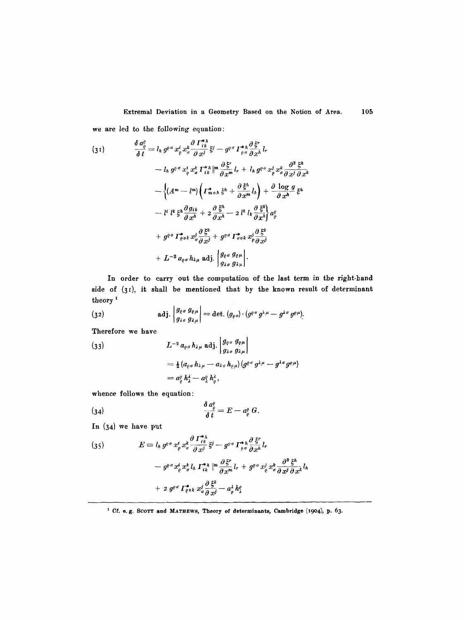Extremal Deviation in a Geometry Based on the Notion of Area. we are led to the following equation: 105

$$
(31) \qquad \frac{\delta a_{\varrho}^{\varrho}}{\delta t} = l_h g^{\varrho \sigma} x_{\varrho}^{i} x_{\sigma}^{k} \frac{\partial F_{ik}^{*h}}{\partial x^{j}} \xi^{j} - g^{\varrho \sigma} \Gamma_{\varrho \sigma}^{*h} \frac{\partial \xi^{r}}{\partial x^{h}} l_{r}
$$
\n
$$
- l_h g^{\varrho \sigma} x_{\varrho}^{i} x_{\sigma}^{k} \Gamma_{ik}^{*h} \Big|^{m} \frac{\partial \xi^{r}}{\partial x^{m}} l_{r} + l_h g^{\varrho \sigma} x_{\varrho}^{j} x_{\sigma}^{k} \frac{\partial^{2} \xi^{h}}{\partial x^{j} \partial x^{k}}
$$
\n
$$
- \Big\{ (A^{m} - l^{m}) \Big( \Gamma_{m \circ h}^{*} \xi^{h} + \frac{\partial \xi^{h}}{\partial x^{m}} l_{h} \Big) + \frac{\partial \log g}{\partial x^{h}} \xi^{h}
$$
\n
$$
- l^{i} l^{k} \xi^{h} \frac{\partial g_{ik}}{\partial x^{h}} + 2 \frac{\partial \xi^{h}}{\partial x^{h}} - 2 l^{h} l_{k} \frac{\partial \xi^{k}}{\partial x^{h}} \Big\} a_{\varrho}^{\varrho}
$$
\n
$$
+ g^{\varrho \sigma} \Gamma_{\varrho \circ k}^{*} x_{\sigma}^{j} \frac{\partial \xi^{k}}{\partial x^{j}} + g^{\varrho \sigma} \Gamma_{\sigma \circ k}^{*} x_{\varrho}^{j} \frac{\partial \xi^{k}}{\partial x^{j}}
$$
\n
$$
+ L^{-2} a_{\varrho \sigma} h_{\lambda \mu} \text{ adj.} \Big[ \frac{g_{\varrho \sigma} g_{\varrho \mu}}{g_{\lambda \sigma} g_{\lambda \mu}} \Big].
$$

In order to carry out the computation of the last term in the right-hand side of  $(3)$ , it shall be mentioned that by the known result of determinant theory<sup>1</sup>

(32) 
$$
\operatorname{adj.}\nolimits \left| \begin{array}{l} g_{\varrho \sigma} g_{\varrho \mu} \\ g_{\lambda \sigma} g_{\lambda \mu} \end{array} \right| = \operatorname{det.}\nolimits \left( g_{\varrho \sigma} \right) \cdot \left( g^{\varrho \sigma} g^{\lambda \mu} - g^{\lambda \sigma} g^{\varrho \mu} \right).
$$

Therefore we have

(33)  
\n
$$
L^{-2} a_{\varrho\sigma} h_{\lambda\mu} \text{ adj.} \begin{vmatrix} g_{\varrho\sigma} g_{\varrho\mu} \\ g_{\lambda\sigma} g_{\lambda\mu} \end{vmatrix}
$$
\n
$$
= \frac{1}{2} (a_{\varrho\sigma} h_{\lambda\mu} - a_{\lambda\sigma} h_{\varrho\mu}) (g^{\varrho\sigma} g^{\lambda\mu} - g^{\lambda\sigma} g^{\varrho\mu})
$$
\n
$$
= a_{\varrho}^{\varrho} h_{\lambda}^{\lambda} - a_{\lambda}^{\varrho} h_{\varrho}^{\lambda},
$$

whence follows the equation:

$$
\frac{\delta a_{\varrho}^{q}}{\delta t}=E-a_{\varrho}^{q} G.
$$

In (34) we have put

(35) 
$$
E = l_h g^{\rho \sigma} x^i_{\rho} x^k_{\sigma} \frac{\partial \Gamma^{*h}_{ik}}{\partial x^j} \xi^j - g^{\rho \sigma} \Gamma^{*h}_{\rho \sigma} \frac{\partial \xi^r}{\partial x^h} l_r
$$

$$
- g^{\rho \sigma} x^i_{\rho} x^k_{\sigma} l_h \Gamma^{*h}_{ik} \parallel^m \frac{\partial \xi^r}{\partial x^m} l_r + g^{\rho \sigma} x^j_{\rho} x^k_{\sigma} \frac{\partial^2 \xi^h}{\partial x^j \partial x^k} l_h
$$

$$
+ 2 g^{\rho \sigma} \Gamma^{*}_{\rho \sigma k} x^j_{\sigma} \frac{\partial \xi^k}{\partial x^j} - a^j_{\rho} h^{\rho}
$$

<sup>&</sup>lt;sup>1</sup> Cf. e.g. SCOTT and MATHEWS, Theory of determinants, Cambridge (1904), p. 63.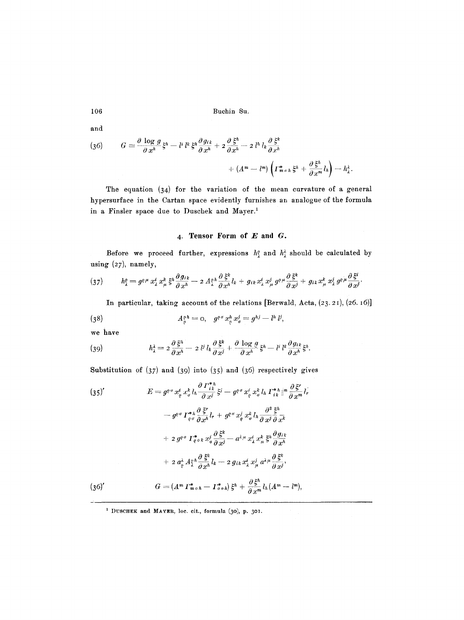and

(36) 
$$
G = \frac{\partial \log g}{\partial x^h} \xi^h - l^i l^k \xi^h \frac{\partial g_{ik}}{\partial x^h} + 2 \frac{\partial \xi^h}{\partial x^h} - 2 l^h l_k \frac{\partial \xi^k}{\partial x^h} + (A^m - l^m) \left( \Gamma^*_{m \circ h} \xi^h + \frac{\partial \xi^h}{\partial x^m} l_h \right) - h_{\lambda}^{\lambda}.
$$

The equation (34) for the variation of the mean eurvature of a general hypersurface in the Cartan space evidently furnishes an analogue of the formula in a Finsler space due to Duschek and Mayer.<sup>1</sup>

## 4. Tensor Form of E and G.

Before we proceed further, expressions  $h^o_\lambda$  and  $h^{\lambda}_{\lambda}$  should be calculated by using  $(27)$ , namely,

$$
(37) \qquad h_{\lambda}^{\rho}=g^{\rho\mu}x_{\lambda}^{i}x_{\mu}^{k}\xi^{\mu}\frac{\partial g_{ik}}{\partial x^h}-2A_{\lambda}^{\rho\mu}\frac{\partial\xi^k}{\partial x^h}l_{k}+g_{ik}x_{\lambda}^{i}x_{\mu}^{j}g^{\rho\mu}\frac{\partial\xi^k}{\partial x^j}+g_{ik}x_{\mu}^{k}x_{\lambda}^{j}g^{\rho\mu}\frac{\partial\xi^i}{\partial x^j}.
$$

In particular, taking account of the relations [Berwald, Acta,  $(23.21)$ ,  $(26.16)$ ]

(38) 
$$
A_{\varrho}^{\varrho h} = 0, \quad g^{\varrho \sigma} x_{\varrho}^h x_{\sigma}^j = g^{hj} - l^h l^j,
$$

we have

(39) 
$$
h_{\lambda}^{i} = 2 \frac{\partial \xi^{h}}{\partial x^{h}} - 2 l^{j} l_{k} \frac{\partial \xi^{k}}{\partial x^{j}} + \frac{\partial \log g}{\partial x^{h}} \xi^{h} - l^{i} l^{k} \frac{\partial g_{ik}}{\partial x^{h}} \xi^{h}.
$$

Substitution of  $(37)$  and  $(39)$  into  $(35)$  and  $(36)$  respectively gives

$$
(35)' \qquad E = g^{\rho \sigma} x_{\rho}^{i} x_{\sigma}^{k} l_{h} \frac{\partial F_{ik}^{*h}}{\partial x^{j}} \xi^{j} - g^{\rho \sigma} x_{\rho}^{i} x_{\sigma}^{k} l_{h} \Gamma_{ik}^{*h} \parallel^{n} \frac{\partial \xi^{r}}{\partial x^{m}} l_{r}
$$
\n
$$
- g^{\rho \sigma} \Gamma_{\rho \sigma}^{*h} \frac{\partial \xi^{r}}{\partial x^{h}} l_{r} + g^{\rho \sigma} x_{\rho}^{j} x_{\sigma}^{k} l_{h} \frac{\partial^{2} \xi^{h}}{\partial x^{j}} \frac{\partial \xi^{h}}{\partial x^{k}}
$$
\n
$$
+ 2 g^{\rho \sigma} \Gamma_{\rho \sigma k}^{*} x_{\sigma}^{j} \frac{\partial \xi^{k}}{\partial x^{j}} - a^{\lambda \mu} x_{\lambda}^{i} x_{\mu}^{k} \xi^{h} \frac{\partial g_{ik}}{\partial x^{h}}
$$
\n
$$
+ 2 a_{\rho}^{i} A_{\lambda}^{\rho h} \frac{\partial \xi^{k}}{\partial x^{h}} l_{k} - 2 g_{ik} x_{\lambda}^{i} x_{\mu}^{j} a^{\lambda \mu} \frac{\partial \xi^{k}}{\partial x^{j}},
$$
\n
$$
(36)' \qquad G = (A^{m} \Gamma_{m \sigma h}^{*} - \Gamma_{\sigma \sigma h}^{*}) \xi^{h} + \frac{\partial \xi^{h}}{\partial x^{m}} l_{h} (A^{m} - l^{m}),
$$

<sup>1</sup> DUSCHEK and MAYER, loc. cit., formula (30), p. 301.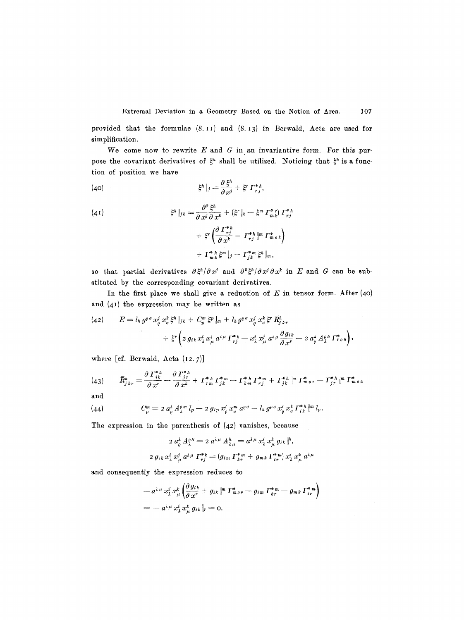provided that the formulae (8.11) and (8.13) in Berwald, Acta are used for simplification.

We come now to rewrite  $E$  and  $G$  in an invariantive form. For this purpose the covariant derivatives of  $\xi^h$  shall be utilized. Noticing that  $\xi^h$  is a function of position we have

(40) 
$$
\xi^h|_j = \frac{\partial \xi^h}{\partial x^j} + \xi^r \Gamma_{rj}^{*h},
$$

(41)  
\n
$$
\xi^h|_{jk} = \frac{\partial^2 \xi^h}{\partial x^j \partial x^k} + (\xi^r|_k - \xi^m \Gamma^*_{mk}) \Gamma^*_{rj}
$$
\n
$$
+ \xi^r \left( \frac{\partial \Gamma^*_{rj}}{\partial x^k} + \Gamma^*_{rj} \left\| m \Gamma^*_{m \, o \, k} \right\right)
$$
\n
$$
+ \Gamma^*_{mk} \xi^m|_j - \Gamma^*_{jk} \xi^h|_m,
$$

so that partial derivatives  $\partial \xi^h / \partial x^j$  and  $\partial^2 \xi^h / \partial x^j \partial x^k$  in E and G can be substituted by the corresponding covariant derivatives.

In the first place we shall give a reduction of  $E$  in tensor form. After (40) and  $(41)$  the expression may be written as

(42) 
$$
E = l_h g^{\rho \sigma} x_{\rho}^{j} x_{\sigma}^{k} \xi^{h} |_{jk} + C_p^{m} \xi^{p} |_{m} + l_h g^{\rho \sigma} x_{\rho}^{j} x_{\sigma}^{k} \xi^{r} \overline{R}_{jkr}^{h} + \xi^{r} \left( 2 g_{ik} x_{\lambda}^{i} x_{\mu}^{j} a^{\lambda \mu} \Gamma_{rj}^{*k} - x_{\lambda}^{i} x_{\mu}^{j} a^{\lambda \mu} \frac{\partial g_{ik}}{\partial x^{r}} - 2 a_{\rho}^{i} A_{\lambda}^{\rho h} \Gamma_{r \rho h}^{*} \right),
$$

where [cf. Berwald, Acta (I2.7)]

$$
(43) \qquad \bar{R}^h_{jkr} = \frac{\partial \, \Gamma^{*h}_{jk}}{\partial \, x^r} - \frac{\partial \, \Gamma^{*h}_{jr}}{\partial \, x^k} + \, \Gamma^{*h}_{rm} \, \Gamma^{*m}_{jk} - \Gamma^{*h}_{km} \, \Gamma^{*m}_{rj} + \, \Gamma^{*h}_{jk} \|^m \, \Gamma^{*}_{m \, or} - \, \Gamma^{*h}_{jr} \|^m \, \Gamma^{*}_{m \, ok}
$$

and

(44) 
$$
C_p^m = 2 a_e^{\lambda} A_{\lambda}^{q m} l_p - 2 g_{ip} x_e^i x_o^m a^{q \sigma} - l_h g^{\rho \sigma} x_e^i x_o^k \Gamma_{ik}^{*h} \|^{m} l_p.
$$

The expression in the parenthesis of (42) vanishes, because

$$
2 a_{\rho}^{\lambda} A_{\lambda}^{\rho h} = 2 a^{\lambda \mu} A_{\lambda \mu}^{h} = a^{\lambda \mu} x_{\lambda}^{\dagger} x_{\mu}^{k} g_{ik} |h|,
$$
  

$$
2 g_{ik} x_{\lambda}^{i} x_{\mu}^{j} a^{\lambda \mu} T_{rj}^{*k} = (g_{im} T_{kr}^{*m} + g_{mk} T_{ir}^{*m}) x_{\lambda}^{i} x_{\mu}^{k} a^{\lambda \mu}
$$

and consequently the expression reduces to

$$
-a^{\lambda\mu}x_i^i x_\mu^k \left(\frac{\partial g_{ik}}{\partial x^r} + g_{ik}\right)^m \Gamma^*_{m \circ r} - g_{im} \Gamma^*_{kr} - g_{mk} \Gamma^*_{ir} \right)
$$
  
= 
$$
-a^{\lambda\mu}x_i^i x_\mu^k g_{ik}|_r = 0.
$$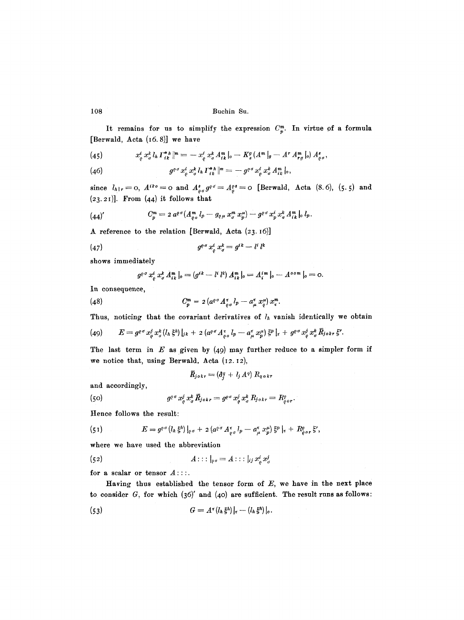It remains for us to simplify the expression  $C_p^m$ . In virtue of a formula [Berwald, Acta (16.8)] we have

(45) 
$$
x_{\varrho}^{i} x_{\sigma}^{k} l_{h} \Gamma_{ik}^{*h} \vert^{m} = - x_{\varrho}^{i} x_{\sigma}^{k} A_{ik}^{m} \vert_{o} - K_{s}^{g} (A^{m} \vert_{g} - A^{r} A_{rg}^{m} \vert_{o}) A_{\varrho}^{s} ,
$$

(46) 
$$
g^{\rho\sigma} x^i_{\rho} x^k_{\sigma} l_h \Gamma^{*h}_{ik} \vert^m = - g^{\rho\sigma} x^i_{\rho} x^k_{\sigma} A^n_{ik} \vert_{0},
$$

since  $l_{h|r} = 0$ ,  $A^{ik\theta} = 0$  and  $A^s_{\rho\sigma} g^{\rho\sigma} = A^{os}_{\rho} = 0$  [Berwald, Acta (8.6), (5.5) and  $(23.21)$ ]. From  $(44)$  it follows that

$$
(44)' \t C_p^m = 2 a^{p\sigma} (A_{\varrho\sigma}^m l_p - g_{\varrho\mu} x_{\sigma}^m x_p^{\mu}) - g^{p\sigma} x_p^i x_{\sigma}^k A_{ik}^m |_{\sigma} l_p.
$$

A reference to the relation [Berwald, Acta (23.16)]

$$
(47) \t\t go \sigma xoi xok = gik - li lk
$$

shows immediately

$$
g^{\rho\sigma} x_{\rho}^{i} x_{\sigma}^{k} A_{ik}^{m} |_{o} = (g^{ik} - l^{i} l^{k}) A_{ik}^{m} |_{o} = A_{i}^{im} |_{o} - A^{oom} |_{o} = o.
$$

In consequence,

$$
(48) \tC_p^m = 2 \left( a^{\rho \sigma} A_{\rho \sigma}^{\tau} l_p - a_{\mu}^{\tau} x_{\rho}^{\mu} \right) x_{\tau}^m.
$$

Thus, noticing that the covariant derivatives of  $l<sub>h</sub>$  vanish identically we obtain

(49) 
$$
E = g^{\rho\sigma} x^j_{\rho} x^k_{\sigma} (l_h \xi^h) |_{jk} + 2 (a^{\rho\sigma} A^{\tau}_{\rho\sigma} l_p - a^{\tau}_{\mu} x^{\mu}_p) \xi^p |_{\tau} + g^{\rho\sigma} x^j_{\rho} x^k_{\sigma} \overline{R}_{j\sigma k r} \xi^r.
$$

The last term in  $E$  as given by (49) may further reduce to a simpler form if we notice that, using Berwald, Acta (12.12),

$$
\bar{R}_{j \, o \, k \, r} = (\delta_j^q + l_j \, A^q) \, R_{q \, o \, k \, r}
$$

and accordingly,

(50) 
$$
g^{\varrho\sigma} x^j_{\varrho} x^k_{\sigma} \bar{R}_{j\sigma k r} = g^{\varrho\sigma} x^j_{\varrho} x^k_{\sigma} R_{j\sigma k r} = R^{\varrho}_{\varrho\sigma r}
$$

Hence follows the result:

(51) 
$$
E = g^{\rho \sigma} (l_h \xi^h) |_{\rho \sigma} + 2 (a^{\rho \sigma} A^{\tau}_{\rho \sigma} l_p - a^{\tau}_{\mu} x^{\mu}_p) \xi^p |_{\tau} + R^{\rho}_{\rho \sigma \tau} \xi^r,
$$

where we have used the abbreviation

(52) 
$$
A::|_{\varrho\sigma}=A::|_{ij}x_{\varrho}^{i}x_{\sigma}^{j}
$$

for a scalar or tensor  $A$ ::..

Having thus established the tensor form of  $E$ , we have in the next place to consider  $G$ , for which  $(36)'$  and  $(40)$  are sufficient. The result runs as follows:

$$
(53) \tG = A^{\tau} (l_h \xi^h)|_{\tau} - (l_h \xi^h)|_{\rho}.
$$

108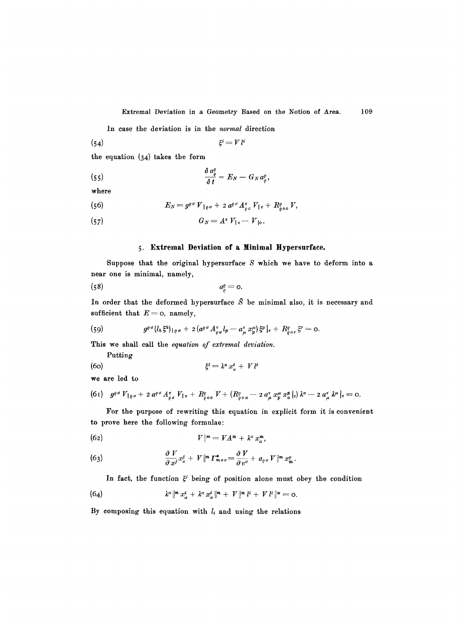In case the deviation is in the *normal* direction

(54)  $\xi^{i} = V l^{i}$ 

the equation (34) takes the form

(55) 
$$
\frac{\partial a_{\varrho}^{\varrho}}{\partial t} = E_N - G_N a_{\varrho}^{\varrho},
$$

where

(56) 
$$
E_N = g^{\rho \sigma} V_{\rho \sigma} + 2 a^{\rho \sigma} A_{\rho \sigma}^{\tau} V_{\rho \tau} + R_{\rho \sigma \sigma}^{\rho} V,
$$

$$
(57) \tGN = A\epsilon V1 - V10.
$$

### **5. Extremal Deviation of a Minimal** Hypersurfaee.

Suppose that the original hypersurface  $S$  which we have to deform into a near one is minimal, namely,

$$
a_o^o = 0.
$$

In order that the deformed hypersurface  $\bar{S}$  be minimal also, it is necessary and sufficient that  $E=$  0, namely,

(59) 
$$
g^{\varrho\sigma}(l_h\xi^h)_{\varrho\sigma} + 2(a^{\varrho\sigma}A^{\tau}_{\varrho\sigma}l_p - a^{\tau}_{\mu}x^{\mu}_{p})\xi^p|_{\tau} + R^{\varrho}_{\varrho\sigma r}\xi^r = 0.
$$

This we shall call the *equation of extremal deviation.* 

Putting

$$
\xi^i = \lambda^a x^i_a + V l^i
$$

we are led to

$$
(6\mathbf{i})\quad g^{\varrho\sigma} V_{\mathbf{1}\varrho\sigma} + 2\, a^{\varrho\sigma} A^{\tau}_{\varrho\sigma} V_{\mathbf{1}\tau} + R^{\varrho}_{\varrho\sigma\sigma} V + (R^{\varrho}_{\varrho\sigma\sigma} - 2\, a^{\tau}_{\mu} x^{\mu}_{p} x^{\mathbf{p}}_{\alpha}|_{\tau})\lambda^{\alpha} - 2\, a^{\tau}_{\mu} \lambda^{\mu}|_{\tau} = 0.
$$

For the purpose of rewriting this equation in explicit form it is convenient to prove here the following formulae:

$$
V\|m = VA^m + \lambda^{\alpha} x_{\alpha}^m,
$$

(63) 
$$
\frac{\partial V}{\partial x^j}x^j_{\sigma} + V \Vert^m \Gamma^*_{m \sigma \sigma} = \frac{\partial V}{\partial v^{\sigma}} + a_{\rho \sigma} V \Vert^m x^{\sigma}_m.
$$

In fact, the function  $\xi^i$  being of position alone must obey the condition

(64) 
$$
\lambda^{\alpha} \Vert^{m} x_{\alpha}^{i} + \lambda^{\alpha} x_{\alpha}^{i} \Vert^{m} + V \Vert^{m} l^{i} + V l^{i} \Vert^{m} = 0.
$$

By composing this equation with  $l_i$  and using the relations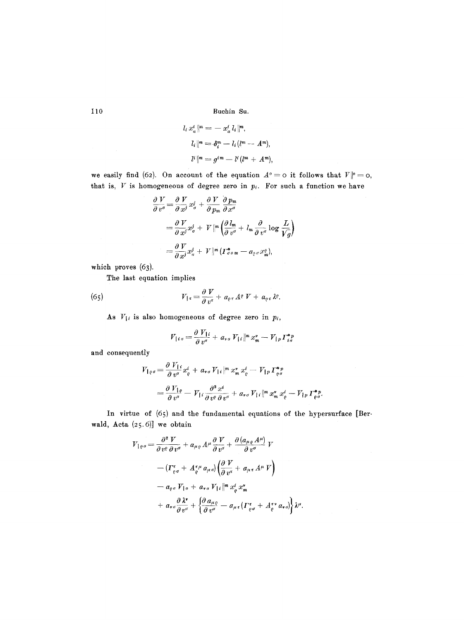$$
l_i x_{\alpha}^i \rVert^m = - x_{\alpha}^i l_i \rVert^m,
$$
  
\n
$$
l_i \rVert^m = \delta_i^m - l_i (l^m - A^m),
$$
  
\n
$$
l^i \rVert^m = g^{im} - l^i (l^m + A^m),
$$

we easily find (62). On account of the equation  $A^o = o$  it follows that  $V| o^o = o$ , that is,  $V$  is homogeneous of degree zero in  $p_i$ . For such a function we have

$$
\frac{\partial V}{\partial v^{\sigma}} = \frac{\partial V}{\partial x^j} x^j_{\sigma} + \frac{\partial V}{\partial p_m} \frac{\partial p_m}{\partial x^{\sigma}}
$$
  
=  $\frac{\partial V}{\partial x^j} x^j_{\sigma} + V \|\theta\| \left(\frac{\partial l_m}{\partial v^{\sigma}} + l_m \frac{\partial}{\partial v^{\sigma}} \log \frac{L}{V_g}\right)$   
=  $\frac{\partial V}{\partial x^j} x^j_{\sigma} + V \|\theta\| (r^*_{\sigma \circ m} - a_{\varrho \circ \sigma} x^{\varrho}_{m}),$ 

which proves  $(63)$ .

The last equation implies

(65) 
$$
V_{1\tau} = \frac{\partial V}{\partial v^{\tau}} + a_{\rho\tau} A^{\rho} V + a_{\rho\tau} \lambda^{\rho}.
$$

As  $V_{\{i\}}$  is also homogeneous of degree zero in  $p_i$ ,

$$
V_{\vert i\sigma} = \frac{\partial V_{\vert i}}{\partial v^{\sigma}} + a_{\nu\sigma} V_{\vert i} \Vert^{m} x_{m}^{\nu} - V_{\vert p} \Gamma_{i\sigma}^{* p}
$$

and consequently

$$
V_{\parallel \varrho\sigma} = \frac{\partial V_{\parallel i}}{\partial v^{\sigma}} x_{\varrho}^{i} + a_{\nu\sigma} V_{\parallel i} \left\| m x_{m}^{*} x_{\varrho}^{i} - V_{\parallel p} \right. \Gamma_{\varrho\sigma}^{* p}
$$
\n
$$
= \frac{\partial V_{\parallel \varrho}}{\partial v^{\sigma}} - V_{\parallel i} \frac{\partial^{2} x^{i}}{\partial v^{\varrho} \partial v^{\sigma}} + a_{\nu\sigma} V_{\parallel i} \left\| m x_{m}^{*} x_{\varrho}^{i} - V_{\parallel p} \right. \Gamma_{\varrho\sigma}^{* p}.
$$

In virtue of (65) and the fundamental equations of the hypersurface [Berwald, Acta (25.6)] we obtain

$$
V_{1\varrho\sigma} = \frac{\partial^2 V}{\partial v^{\varrho} \partial v^{\sigma}} + a_{\mu\varrho} A^{\mu} \frac{\partial V}{\partial v^{\sigma}} + \frac{\partial (a_{\mu\varrho} A^{\mu})}{\partial v^{\sigma}} V
$$
  

$$
- ( \Gamma_{\varrho\sigma}^{\epsilon} + A_{\varrho}^{\epsilon\mu} a_{\mu\sigma}) \left( \frac{\partial V}{\partial v^{\tau}} + a_{\mu\tau} A^{\mu} V \right)
$$
  

$$
- a_{\varrho\sigma} V_{1\sigma} + a_{\nu\sigma} V_{1\iota} \|^{m} x_{\varrho}^{\iota} x_{m}^{\nu}
$$
  

$$
+ a_{\nu\sigma} \frac{\partial \lambda^{\nu}}{\partial v^{\sigma}} + \left\{ \frac{\partial a_{\mu\varrho}}{\partial v^{\sigma}} - a_{\mu\tau} ( \Gamma_{\varrho\sigma}^{\epsilon} + A_{\varrho}^{\epsilon\nu} a_{\nu\sigma} ) \right\} \lambda^{\mu}.
$$

110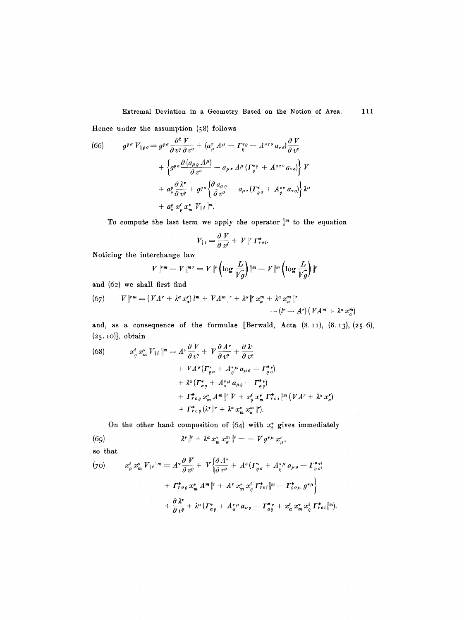Extremal Deviation in a Geometry Based on the Notion of Area. 111

Hence under the assumption (58) follows

(66) 
$$
g^{\varrho\sigma} V_{\varrho\sigma} = g^{\varrho\sigma} \frac{\partial^2 V}{\partial v^{\varrho} \partial v^{\sigma}} + (a^{\tau}_{\mu} A^{\mu} - \Gamma^{\tau\rho}_{\varrho} - A^{\sigma\tau\tau} a_{\nu\sigma}) \frac{\partial V}{\partial v^{\tau}} + \left\{ g^{\varrho\sigma} \frac{\partial (a_{\mu\varrho} A^{\mu})}{\partial v^{\sigma}} - a_{\mu\tau} A^{\mu} (\Gamma^{\tau\rho}_{\varrho} + A^{\sigma\tau\nu} a_{\nu\sigma}) \right\} V + a^{\varrho}_{\nu} \frac{\partial \lambda^{\nu}}{\partial v^{\varrho}} + g^{\varrho\sigma} \left\{ \frac{\partial a_{\mu\varrho}}{\partial v^{\sigma}} - a_{\mu\tau} (\Gamma^{\tau}_{\varrho\sigma} + A^{\tau\nu}_{\varrho} a_{\tau\sigma}) \right\} \lambda^{\mu} + a^{\varrho}_{\nu} x^{\tau}_{\sigma} x^{\nu}_{\mu} V_{\mu} |^{m}.
$$

To compute the last term we apply the operator  $\Vert^m$  to the equation

$$
V_{\downarrow i} = \frac{\partial V}{\partial x^i} + V \parallel^r \Gamma_{roi}^*
$$

Noticing the interchange law

$$
V\Vert^{r}\Vert^{m}-V\Vert^{m}r=V\Vert^{r}\left(\log\frac{L}{Vg}\right)\Vert^{n}-V\Vert^{m}\left(\log\frac{L}{Vg}\right)\Vert^{r}
$$

and (62) we shall first find

(67) 
$$
V\Vert r^{m} = (VA^{r} + \lambda^{\alpha} x_{\alpha}^{r}) l^{m} + VA^{m} \Vert r + \lambda^{\alpha} \Vert r x_{\alpha}^{m} + \lambda^{\alpha} x_{\alpha}^{m} \Vert r - (l^{r} - A^{r}) (VA^{m} + \lambda^{\alpha} x_{\alpha}^{m})
$$

and, as a consequence of the formulae [Berwald, **Aeta (8. I I), (8.13), (25.6),**  (2 5. IO)], obtain

(68) 
$$
x_{\varrho}^{i} x_{m}^{*} V_{\{i\}}\vert^{m} = A^{\nu} \frac{\partial V}{\partial v^{\varrho}} + V \frac{\partial A^{\nu}}{\partial v^{\varrho}} + \frac{\partial \lambda^{\nu}}{\partial v^{\varrho}} + V A^{\nu} \frac{\partial V}{\partial v^{\varrho}} + V A^{\nu} \frac{\partial V}{\partial v^{\varrho}} + A^{\nu} \frac{\partial V}{\partial v^{\varrho}} + A^{\nu} \frac{\partial V}{\partial v^{\varrho}} + A^{\nu} \frac{\partial V}{\partial v^{\varrho}} + A^{\nu} \frac{\partial V}{\partial v^{\varrho}} + A^{\nu} \frac{\partial V}{\partial v^{\varrho}} + A^{\nu} \frac{\partial V}{\partial v^{\varrho}} + A^{\nu} \frac{\partial V}{\partial v^{\varrho}} + A^{\nu} \frac{\partial V}{\partial v^{\varrho}} + A^{\nu} \frac{\partial V}{\partial v^{\varrho}} + A^{\nu} \frac{\partial V}{\partial v^{\varrho}} + A^{\nu} \frac{\partial V}{\partial v^{\varrho}} + A^{\nu} \frac{\partial V}{\partial v^{\varrho}} + A^{\nu} \frac{\partial V}{\partial v^{\varrho}} + A^{\nu} \frac{\partial V}{\partial v^{\varrho}} + A^{\nu} \frac{\partial V}{\partial v^{\varrho}} + A^{\nu} \frac{\partial V}{\partial v^{\varrho}} + A^{\nu} \frac{\partial V}{\partial v^{\varrho}} + A^{\nu} \frac{\partial V}{\partial v^{\varrho}} + A^{\nu} \frac{\partial V}{\partial v^{\varrho}} + A^{\nu} \frac{\partial V}{\partial v^{\varrho}} + A^{\nu} \frac{\partial V}{\partial v^{\varrho}} + A^{\nu} \frac{\partial V}{\partial v^{\varrho}} + A^{\nu} \frac{\partial V}{\partial v^{\varrho}} + A^{\nu} \frac{\partial V}{\partial v^{\varrho}} + A^{\nu} \frac{\partial V}{\partial v^{\varrho}} + A^{\nu} \frac{\partial V}{\partial v^{\varrho}} + A^{\nu} \frac{\partial V}{\partial v^{\varrho}} + A^{\nu} \frac{\partial V}{\partial v^{\varrho}} + A^{\nu} \frac{\partial V}{\partial v^{\varrho}} + A^{\nu} \frac{\partial V}{\partial v^{\varrho}} + A^{\nu} \frac{\partial V}{\partial v^{\varrho}} + A^{\nu} \
$$

On the other hand composition of  $(64)$  with  $x_i^*$  gives immediately

(69) 
$$
\lambda^* \|r + \lambda^{\alpha} x_m^{\nu} x_{\alpha}^m \|r = - V g^{\nu \mu} x_{\mu}^{\nu},
$$

so that

(70) 
$$
x_{\varrho}^{i} x_{m}^{v} V_{1i} \|^{m} = A^{v} \frac{\partial V}{\partial v^{c}} + V \Big\{ \frac{\partial A^{v}}{\partial v^{c}} + A^{o} (I_{\varrho \sigma}^{v} + A_{\varrho}^{v} u_{\mu \sigma} - I_{\varrho \sigma}^{*}) + I_{\varrho o}^{*} \psi_{\varrho} x_{m}^{v} A^{m} \|^{r} + A^{r} x_{m}^{v} x_{\varrho}^{i} I_{\varrho o i}^{*} \|^{m} - I_{\varrho o \mu}^{*} g^{\nu \mu} \Big\} + \frac{\partial \lambda^{v}}{\partial v^{c}} + \lambda^{a} (I_{\alpha \varrho}^{*} + A_{\alpha}^{v} u_{\mu \varrho} - I_{\alpha \varrho}^{*} + x_{\alpha}^{r} x_{m}^{v} x_{\varrho}^{i} I_{\varrho o i}^{*} \|^{m}).
$$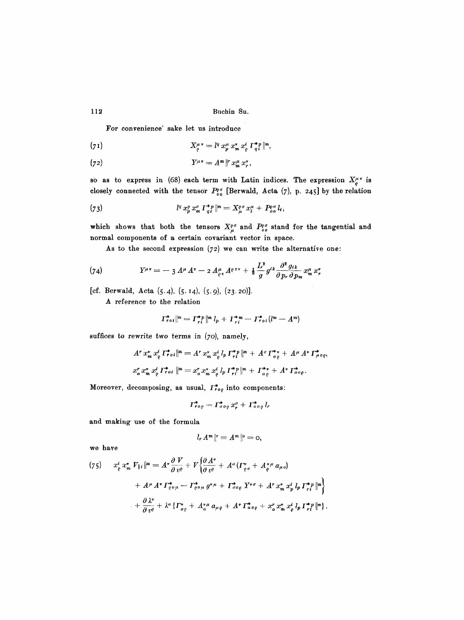For convenience' sake let us introduce

$$
(71) \tX_{\varrho}^{\mu\nu}=l^q x_p^{\mu} x_n^{\nu} x_{\varrho}^i T_{q_i}^{*p} |m,
$$

$$
(72) \t\t Y^{\mu\nu} = A^m \vert^r x_m^{\mu} x_r^{\nu},
$$

so as to express in (68) each term with Latin indices. The expression  $X_{\varrho}^{\mu\nu}$  is closely connected with the tensor  $P_{\varrho}^{\varrho\sigma}$  [Berwald, Acta (7), p. 245] by the relation

(73) 
$$
l^q x_p^o x_m^{\sigma} \Gamma_{q i}^{* p} | m = X_{\mu}^{o \sigma} x_i^{\mu} + P_{o \sigma}^{o \sigma} l_i,
$$

which shows that both the tensors  $X^{\rho\sigma}_{\mu}$  and  $P^{\rho\sigma}_{\rho\rho}$  stand for the tangential and normal components of a certain covariant vector in space.

As to the second expression  $(72)$  we can write the alternative one:

(74) 
$$
Y^{\mu\nu} = -3 A^{\mu} A^{\nu} - 2 A^{\mu}_{\varrho\tau} A^{\rho\tau\nu} + \frac{1}{2} \frac{L^2}{g} g^{ik} \frac{\partial^2 g_{ik}}{\partial p_r \partial p_m} x^{\mu}_m x^{\nu}_r
$$

[cf. Berwald, Acta  $(5.4)$ ,  $(5.14)$ ,  $(5.9)$ ,  $(23.20)$ ].

A reference to the relation

$$
\left\|T_{r0i}^*\right\|^{m}=\left\|T_{r i}^*\right\|^m l_p+\left\|T_{r i}^*\right\|- \left\|T_{r0i}^*\right\|^{m}-A^m
$$

suffices to rewrite two terms in (7o), namely,

$$
A^r x_m^* x_\varphi^i \Gamma_{\tau \circ i}^* \| m = A^r x_m^* x_\varphi^i l_p \Gamma_{\tau i}^{*p} \| m + A^{\sigma} \Gamma_{\sigma \varrho}^{*r} + A^{\mu} A^* \Gamma_{\mu \circ \varrho}^{*},
$$
  

$$
x_a^r x_m^* x_\varphi^i \Gamma_{\tau \circ i}^{*} \| m = x_a^r x_m^* x_\varphi^i l_p \Gamma_{\tau i}^{*p} \| m + \Gamma_{\alpha \varrho}^{*r} + A^* \Gamma_{\alpha \circ \varrho}^{*}.
$$

Moreover, decomposing, as usual,  $\Gamma^*_{ro}$  into components:

$$
\Gamma_{\tau o\rho}^* = \Gamma_{\sigma o\rho}^* x_r^\sigma + \Gamma_{\sigma o\rho}^* l_r
$$

and making use of the formula

$$
l_r A^m\|r = A^m\|0 = 0
$$

we have

$$
(75) \quad x_{\varrho}^{i} x_{m}^{*} V_{1i} \|^{m} = A^{*} \frac{\partial V}{\partial v^{\varrho}} + V \Big\{ \frac{\partial A^{*}}{\partial v^{\varrho}} + A^{\sigma} ( \Gamma_{\varrho \sigma}^{*} + A_{\varrho}^{* \mu} a_{\mu \sigma} ) \newline + A^{\mu} A^{*} \Gamma_{\varrho \sigma \mu}^{*} - \Gamma_{\varrho \sigma \mu}^{*} g^{* \mu} + \Gamma_{\sigma \sigma \varrho}^{*} Y^{* \sigma} + A^{r} x_{m}^{*} x_{p}^{i} l_{p} \Gamma_{\tau i}^{* p} \|^{m} \Big\} \newline + \frac{\partial \lambda^{*}}{\partial v^{\varrho}} + \lambda^{\alpha} \{ \Gamma_{\alpha \varrho}^{*} + A_{\alpha}^{* \mu} a_{\mu \varrho} + A^{*} \Gamma_{\alpha \sigma \varrho}^{*} + x_{\alpha}^{r} x_{m}^{*} x_{\varrho}^{i} l_{p} \Gamma_{\tau i}^{* p} \|^{m} \}.
$$

112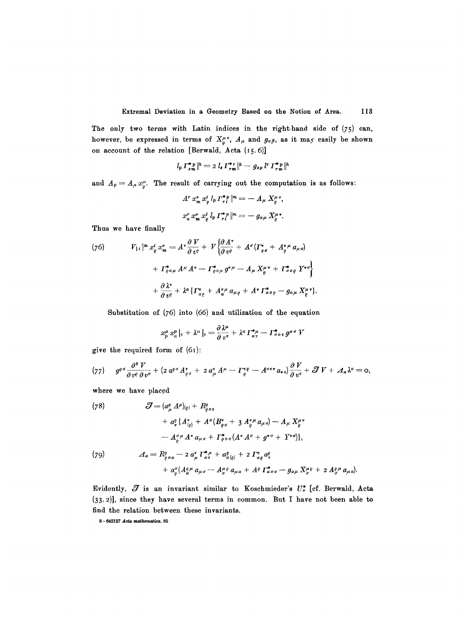The only two terms with Latin indices in the right-hand side of (75) can, however, be expressed in terms of  $X_{\varrho}^{\mu\nu}$ ,  $A_{\mu}$  and  $g_{\alpha\beta}$ , as it may easily be shown on account of the relation [Berwald, Acta (I5.6)]

$$
l_p T_{sm}^{*p} \|^h = 2 l_s T_{rm}^{*r} \|^h - g_{sp} l^r T_{rm}^{*p} \|^h
$$

and  $A_p = A_\mu x^\mu_c$ . The result of carrying out the computation is as follows:

$$
A^r x_m^* x_e^i l_p \Gamma_{r i}^{* p} \vert^m = - A_{\mu} X_{\varrho}^{\mu}{}^{\nu},
$$
  

$$
x_a^r x_m^* x_{\varrho}^i l_p \Gamma_{r i}^{* p} \vert^m = - g_{\alpha \mu} X_{\varrho}^{\mu}{}^{\nu}.
$$

Thus we have finally

(76) 
$$
V_{1i} \|^{m} x_{\varrho}^{i} x_{m}^{*} = A^{*} \frac{\partial V}{\partial v^{\varrho}} + V \Big\{ \frac{\partial A^{*}}{\partial v^{\varrho}} + A^{*} (\Gamma_{\varrho \sigma}^{*} + A_{\varrho}^{*}{}^{\mu} a_{\mu}{}_{\sigma}) + \Gamma_{\varrho \circ \mu}^{*} A^{\mu} A^{*} - \Gamma_{\varrho \circ \mu}^{*} g^{* \mu} - A_{\mu} X_{\varrho}^{\mu}{}^{*} + \Gamma_{\sigma \circ \varrho}^{*} Y^{* \sigma} \Big\} + \frac{\partial \lambda^{*}}{\partial v^{\varrho}} + \lambda^{a} \{ \Gamma_{\alpha \varrho}^{*} + A_{\alpha}^{* \mu} a_{\mu}{}_{\varrho} + A^{*} \Gamma_{\alpha \circ \varrho}^{*} - g_{\alpha}{}_{\mu} X_{\varrho}^{\mu}{}^{*} \}
$$

Substitution of (76) into (66) and utilization of the equation

$$
x_p^{\mu} x_{\alpha}^{p} \big|_{\tau} + \lambda^{\mu} \big|_{\tau} = \frac{\partial \lambda^{\mu}}{\partial v^{\tau}} + \lambda^{\alpha} \Gamma_{\alpha \tau}^{* \mu} - \Gamma_{\sigma \circ \tau}^{*} g^{\mu \sigma} V
$$

give the required form of  $(61)$ :

$$
(77) \qquad g^{\varrho\sigma}\frac{\partial^{2}V}{\partial v^{\varrho}\partial v^{\sigma}} + (2\,a^{\varrho\sigma}A^{\tau}_{\varrho\sigma} + 2\,a^{\tau}_{\mu}\,A^{\mu} - \Gamma^{\tau\rho}_{\varrho} - A^{\sigma\tau\tau}a_{\nu\sigma})\frac{\partial\,V}{\partial\,v^{\tau}} + \mathcal{J}\,V + A_{\alpha}\lambda^{\alpha} = 0,
$$

where we have placed

(78)  
\n
$$
\mathcal{J} = (a_{\mu}^{\rho} A^{\mu})_{(\rho)} + R_{\rho \sigma}^{\rho} A_{\rho \sigma}^{\rho} A_{\rho \sigma}^{\rho} A_{\rho \sigma}^{\rho} A_{\rho \sigma}^{\rho} A_{\rho \sigma}^{\rho} A_{\rho \sigma}^{\rho} A_{\rho \sigma}^{\rho} A_{\rho \sigma}^{\rho} A_{\rho \sigma}^{\rho} A_{\rho \sigma}^{\rho} A_{\rho \sigma}^{\rho} A_{\rho \sigma}^{\rho} A_{\rho \sigma}^{\rho} A_{\rho \sigma}^{\rho} A_{\rho \sigma}^{\rho} A_{\rho \sigma}^{\rho} A_{\rho \sigma}^{\rho} A_{\rho \sigma}^{\rho} A_{\rho \sigma}^{\rho} A_{\rho \sigma}^{\rho} A_{\rho \sigma}^{\rho} A_{\rho \sigma}^{\rho} A_{\rho \sigma}^{\rho} A_{\rho \sigma}^{\rho} A_{\rho \sigma}^{\rho} A_{\rho \sigma}^{\rho} A_{\rho \sigma}^{\rho} A_{\rho \sigma}^{\rho} A_{\rho \sigma}^{\rho} A_{\rho \sigma}^{\rho} A_{\rho \sigma}^{\rho} A_{\rho \sigma}^{\rho} A_{\rho \sigma}^{\rho} A_{\rho \sigma}^{\rho} A_{\rho \sigma}^{\rho} A_{\rho \sigma}^{\rho} A_{\rho \sigma}^{\rho} A_{\rho \sigma}^{\rho} A_{\rho \sigma}^{\rho} A_{\rho \sigma}^{\rho} A_{\rho \sigma}^{\rho} A_{\rho \sigma}^{\rho} A_{\rho \sigma}^{\rho} A_{\rho \sigma}^{\rho} A_{\rho \sigma}^{\rho} A_{\rho \sigma}^{\rho} A_{\rho \sigma}^{\rho} A_{\rho \sigma}^{\rho} A_{\rho \sigma}^{\rho} A_{\rho \sigma}^{\rho} A_{\rho \sigma}^{\rho} A_{\rho \sigma}^{\rho} A_{\rho \sigma}^{\rho} A_{\rho \sigma}^{\rho} A_{\rho \sigma}^{\rho} A_{\rho \sigma}^{\rho} A_{\rho \sigma}^{\rho} A_{\rho \sigma}^{\rho} A_{\rho \sigma}^{\rho} A_{\rho \sigma}^{\rho} A_{\rho \sigma}^{\rho} A_{\rho \sigma}^{\rho} A_{\rho \sigma}^{\rho} A_{\rho \sigma}^{\rho} A_{\rho \sigma}^{\rho}
$$

Evidently,  $\mathcal J$  is an invariant similar to Koschmieder's  $U_o^*$  [cf. Berwald, Acta (33.2)], since they have several terms in common. But I have not been able to find the relation between these invariants.

 $8-642127$  Acta mathematica. 85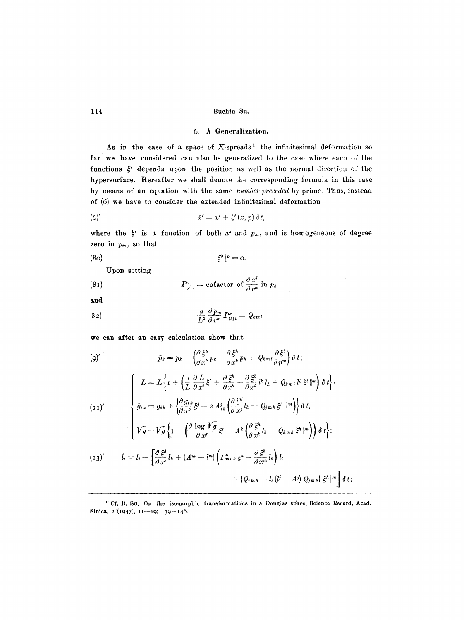# **6. A** Generalization.

As in the case of a space of  $K$ -spreads<sup>1</sup>, the infinitesimal deformation so far we have considered can also be generalized to the case where each of the functions  $\xi^i$  depends upon the position as well as the normal direction of the hypersurface. Hereafter we shall denote the corresponding formula in this case by means of an equation with the same *number preceded* by prime. Thus, instead of (6) we have to consider the extended infinitesimal deformation

(6)' 
$$
\tilde{x}^i = x^i + \xi^i(x, p) \, \delta t,
$$

where the  $\xi^i$  is a function of both x' and  $p_m$ , and is homogeneous of degree zero in  $p_m$ , so that

$$
\xi^h\|^\rho = 0.
$$

Upon setting

(81) 
$$
P_{(k)l}^{\alpha} = \text{cofactor of } \frac{\partial x^l}{\partial v^{\alpha}} \text{ in } p_k
$$

and

$$
\frac{g}{L^2}\frac{\partial p_m}{\partial v^\alpha}P_{(k)l}^\alpha=Q_{kml}
$$

we can after an easy calculation show that

$$
(9) \qquad \bar{p}_k = p_k + \left(\frac{\partial \bar{S}^h}{\partial x^h} p_k - \frac{\partial \bar{S}^h}{\partial x^k} p_h + Q_{kml} \frac{\partial \bar{S}^l}{\partial p^m}\right) \delta t; \n\left\{\begin{aligned}\n\bar{L} &= L \left\{ \mathbf{I} + \left(\frac{\mathbf{I}}{L} \frac{\partial L}{\partial x^i} \bar{S}^i + \frac{\partial \bar{S}^h}{\partial x^h} - \frac{\partial \bar{S}^h}{\partial x^k} l^k l_h + Q_{kml} l^k \bar{S}^l \right|^{m} \right) \delta t \right\}, \n(11)' \qquad \qquad \left\{\begin{aligned}\n\bar{g}_{ik} &= g_{ik} + \left\{\frac{\partial g_{ik}}{\partial x^j} \bar{S}^i - 2 A_{ik}^j \left(\frac{\partial \bar{S}^h}{\partial x^j} l_h - Q_{jmh} \bar{S}^h \right|^{m} \right)\right\} \delta t, \nV \bar{g} &= V \bar{g} \left\{ \mathbf{I} + \left(\frac{\partial \log V \bar{g}}{\partial x^r} \bar{S}^r - A^k \left(\frac{\partial \bar{S}^h}{\partial x^k} l_h - Q_{kmh} \bar{S}^h \right|^{m} \right)\right) \delta t \right\}; \n(13)' \qquad \bar{l}_i = l_i - \left[\frac{\partial \bar{S}^h}{\partial x^i} l_h + (A^m - l^m) \left( I^*_{\text{mon}} \bar{S}^h + \frac{\partial \bar{S}^h}{\partial x^m} l_h \right) l_i \right. \n&\left. + \left\{ Q_{imh} - l_i (l^j - A^j) Q_{jmh} \right\} \bar{S}^h \right\}^{m} \right] \delta t; \end{aligned}\right.
$$

<sup>&</sup>lt;sup>1</sup> Cf. B. SU, On the isomorphic transformations in a Douglas space, Science Record, Acad. Sinica, 2 (1947), 11-19; 139-146.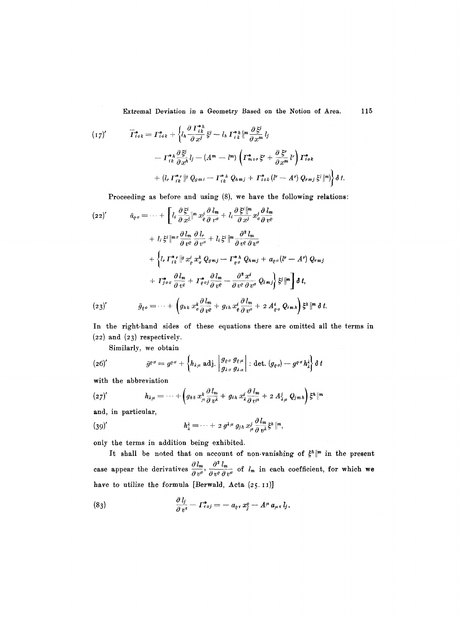Extremal Deviation in a Geometry Based on the Notion of Area. 115

$$
(17)'\qquad \overline{\Gamma}_{i\,ok}^* = \Gamma_{i\,ok}^* + \left\{ l_h \frac{\partial \Gamma_{i\,k}^{*h}}{\partial x^j} \xi^j - l_h \Gamma_{i\,k}^{*h} \right\}^m \frac{\partial \xi^j}{\partial x^m} l_j
$$
\n
$$
- \Gamma_{i\,k}^{*h} \frac{\partial \xi^j}{\partial x^h} l_j - (A^m - l^m) \left( \Gamma_{m\,or}^* \xi^r + \frac{\partial \xi^r}{\partial x^m} l^r \right) \Gamma_{i\,ok}^*
$$
\n
$$
+ (l_r \Gamma_{i\,k}^{*r})^m Q_{gmi} - \Gamma_{i\,k}^{*h} Q_{hmj} + \Gamma_{i\,ok}^{*} (l^r - A^r) Q_{rmj} \xi^j \right\} \delta t.
$$

Proceeding as before and using (8), we have the following relations:

$$
(22)'\qquad \bar{a}_{\varrho\sigma} = \cdots + \left[ l_i \frac{\partial \xi^i}{\partial x^j} \Big|^{m} x^j_{\varrho} \frac{\partial l_m}{\partial v^{\sigma}} + l_i \frac{\partial \xi^i}{\partial x^j} \Big|^{m} x^j_{\sigma} \frac{\partial l_m}{\partial v^{\varrho}} + l_i \xi^i \Big|^{m} \frac{\partial l_m}{\partial v^{\varrho}} \frac{\partial l_m}{\partial v^{\sigma}} + l_i \xi^i \Big|^{m} \frac{\partial^2 l_m}{\partial v^{\varrho} \partial v^{\sigma}} + \left\{ l_r \Gamma_{ik}^{*} \Big|^{m} x^j_{\varrho} x^k_{\sigma} Q_{\sigma} m_j - \Gamma_{\varrho\sigma}^{*} \Omega_{\sigma} m_j + a_{\varrho\sigma} (l^r - A^r) Q_{r} m_j \right. \\ \left. + \Gamma_{j\sigma\sigma}^{*} \frac{\partial l_m}{\partial v^{\varrho}} + \Gamma_{\varrho\sigma j}^{*} \frac{\partial l_m}{\partial v^{\varrho}} - \frac{\partial^2 x^i}{\partial v^{\varrho} \partial v^{\sigma}} Q_{i} m_j \right\} \xi^j \Big|^{m} \right] \delta t,
$$
  

$$
(23)'\qquad \bar{g}_{\varrho\sigma} = \cdots + \left( g_{hk} x^k_{\sigma} \frac{\partial l_m}{\partial v^{\varrho}} + g_{ih} x^i_{\varrho} \frac{\partial l_m}{\partial v^{\sigma}} + 2 A^i_{\varrho\sigma} Q_{i} m_h \right) \xi^h \Big|^{m} \delta t.
$$

In the right-hand sides of these equations there are omitted all the terms in (22) and (23) respectively.

Similarly, we obtain

(26)' 
$$
\bar{g}^{\varrho\sigma} = g^{\varrho\sigma} + \left\{ h_{\lambda\mu} \text{ adj.} \middle| \begin{matrix} g_{\varrho\sigma} & g_{\varrho\mu} \\ g_{\lambda\sigma} & g_{\lambda\mu} \end{matrix} \right\} : \text{det.} (g_{\varrho\sigma}) - g^{\varrho\sigma} h_{\lambda}^{\lambda} \right\} \delta t
$$

with the abbreviation

$$
(27)'\qquad \qquad h_{\lambda\mu}=\cdots+\left(g_{hk}x_{\mu}^k\frac{\partial l_m}{\partial v^k}+g_{ih}x_{\lambda}^i\frac{\partial l_m}{\partial v^{\mu}}+2A_{\lambda\mu}^jQ_{jmh}\right)\xi^h\right|^{m}
$$

and, in particular,

(39)' 
$$
h_{\lambda}^2 = \cdots + 2 g^{\lambda \mu} g_{j\lambda} x_{\mu}^j \frac{\partial l_m}{\partial v^{\lambda}} \xi^{\lambda} \|^{m},
$$

only the terms in addition being exhibited.

It shall be noted that on account of non-vanishing of  $\xi^h\Vert^m$  in the present case appear the derivatives  $\frac{\partial l_m}{\partial v^{\sigma}}$ ,  $\frac{\partial^2 l_m}{\partial v^{\sigma} \partial v^{\sigma}}$  of  $l_m$  in each coefficient, for which we have to utilize the formula [Berwald, Acta (25. II)]

(83) 
$$
\frac{\partial l_j}{\partial v^{\tau}} - \Gamma^*_{\tau \circ j} = -a_{\varrho \tau} x_j^{\rho} - A^{\mu} a_{\mu \tau} l_j.
$$